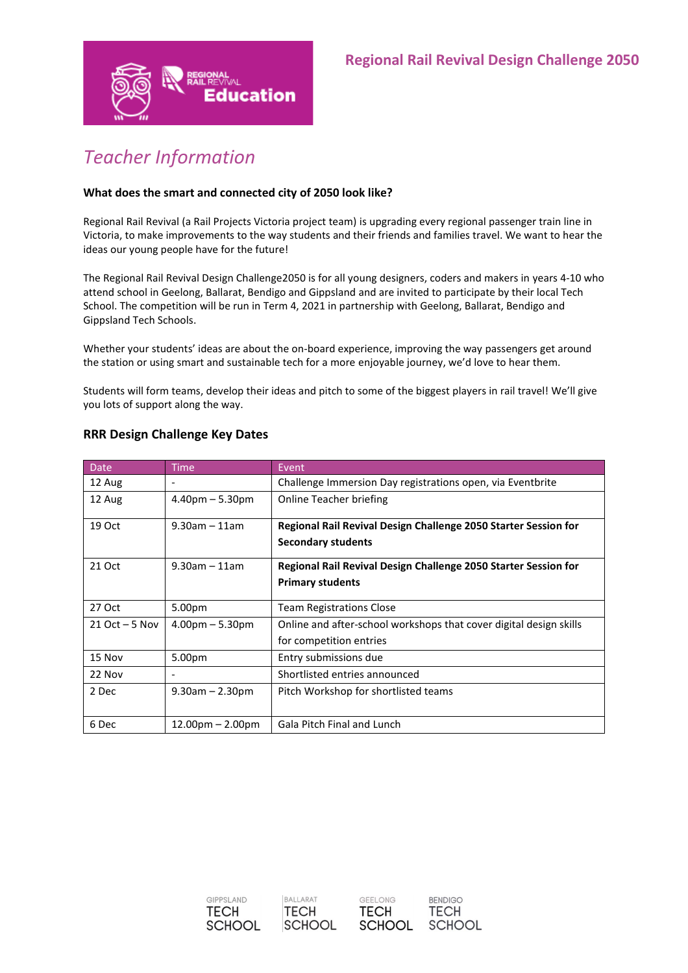

# *Teacher Information*

# **What does the smart and connected city of 2050 look like?**

Regional Rail Revival (a Rail Projects Victoria project team) is upgrading every regional passenger train line in Victoria, to make improvements to the way students and their friends and families travel. We want to hear the ideas our young people have for the future!

The Regional Rail Revival Design Challenge2050 is for all young designers, coders and makers in years 4-10 who attend school in Geelong, Ballarat, Bendigo and Gippsland and are invited to participate by their local Tech School. The competition will be run in Term 4, 2021 in partnership with Geelong, Ballarat, Bendigo and Gippsland Tech Schools.

Whether your students' ideas are about the on-board experience, improving the way passengers get around the station or using smart and sustainable tech for a more enjoyable journey, we'd love to hear them.

Students will form teams, develop their ideas and pitch to some of the biggest players in rail travel! We'll give you lots of support along the way.

| <b>Date</b>       | <b>Time</b>              | Event                                                              |
|-------------------|--------------------------|--------------------------------------------------------------------|
| 12 Aug            | $\overline{\phantom{a}}$ | Challenge Immersion Day registrations open, via Eventbrite         |
| 12 Aug            | $4.40pm - 5.30pm$        | Online Teacher briefing                                            |
| 19 Oct            | $9.30$ am – 11am         | Regional Rail Revival Design Challenge 2050 Starter Session for    |
|                   |                          | <b>Secondary students</b>                                          |
| 21 Oct            | $9.30$ am – 11am         | Regional Rail Revival Design Challenge 2050 Starter Session for    |
|                   |                          | <b>Primary students</b>                                            |
| 27 Oct            | 5.00pm                   | <b>Team Registrations Close</b>                                    |
| $21$ Oct $-5$ Nov | $4.00pm - 5.30pm$        | Online and after-school workshops that cover digital design skills |
|                   |                          | for competition entries                                            |
| 15 Nov            | 5.00pm                   | Entry submissions due                                              |
| 22 Nov            |                          | Shortlisted entries announced                                      |
| 2 Dec             | $9.30$ am $- 2.30$ pm    | Pitch Workshop for shortlisted teams                               |
|                   |                          |                                                                    |
| 6 Dec             | $12.00pm - 2.00pm$       | <b>Gala Pitch Final and Lunch</b>                                  |

# **RRR Design Challenge Key Dates**



**BENDIGO** 

**TECH** 

**SCHOOL**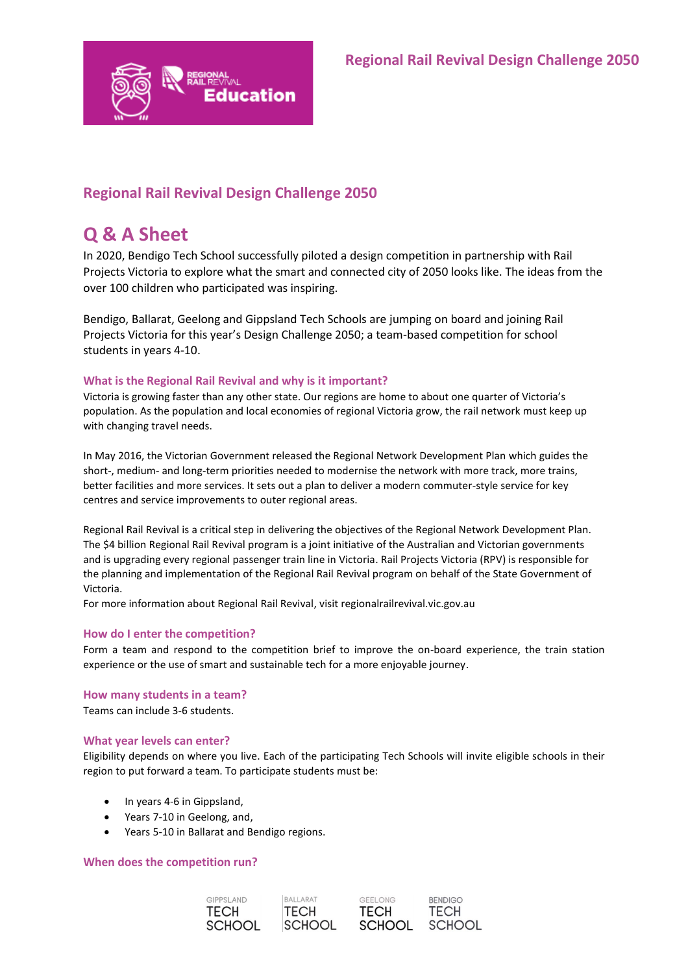

# **Regional Rail Revival Design Challenge 2050**

# **Q & A Sheet**

In 2020, Bendigo Tech School successfully piloted a design competition in partnership with Rail Projects Victoria to explore what the smart and connected city of 2050 looks like. The ideas from the over 100 children who participated was inspiring.

Bendigo, Ballarat, Geelong and Gippsland Tech Schools are jumping on board and joining Rail Projects Victoria for this year's Design Challenge 2050; a team-based competition for school students in years 4-10.

# **What is the Regional Rail Revival and why is it important?**

Victoria is growing faster than any other state. Our regions are home to about one quarter of Victoria's population. As the population and local economies of regional Victoria grow, the rail network must keep up with changing travel needs.

In May 2016, the Victorian Government released the Regional Network Development Plan which guides the short-, medium- and long-term priorities needed to modernise the network with more track, more trains, better facilities and more services. It sets out a plan to deliver a modern commuter-style service for key centres and service improvements to outer regional areas.

Regional Rail Revival is a critical step in delivering the objectives of the Regional Network Development Plan. The \$4 billion Regional Rail Revival program is a joint initiative of the Australian and Victorian governments and is upgrading every regional passenger train line in Victoria. Rail Projects Victoria (RPV) is responsible for the planning and implementation of the Regional Rail Revival program on behalf of the State Government of Victoria.

For more information about Regional Rail Revival, visit regionalrailrevival.vic.gov.au

# **How do I enter the competition?**

Form a team and respond to the competition brief to improve the on-board experience, the train station experience or the use of smart and sustainable tech for a more enjoyable journey.

# **How many students in a team?**

Teams can include 3-6 students.

# **What year levels can enter?**

Eligibility depends on where you live. Each of the participating Tech Schools will invite eligible schools in their region to put forward a team. To participate students must be:

- In years 4-6 in Gippsland,
- Years 7-10 in Geelong, and,
- Years 5-10 in Ballarat and Bendigo regions.

# **When does the competition run?**





**BENDIGO TECH SCHOOL**